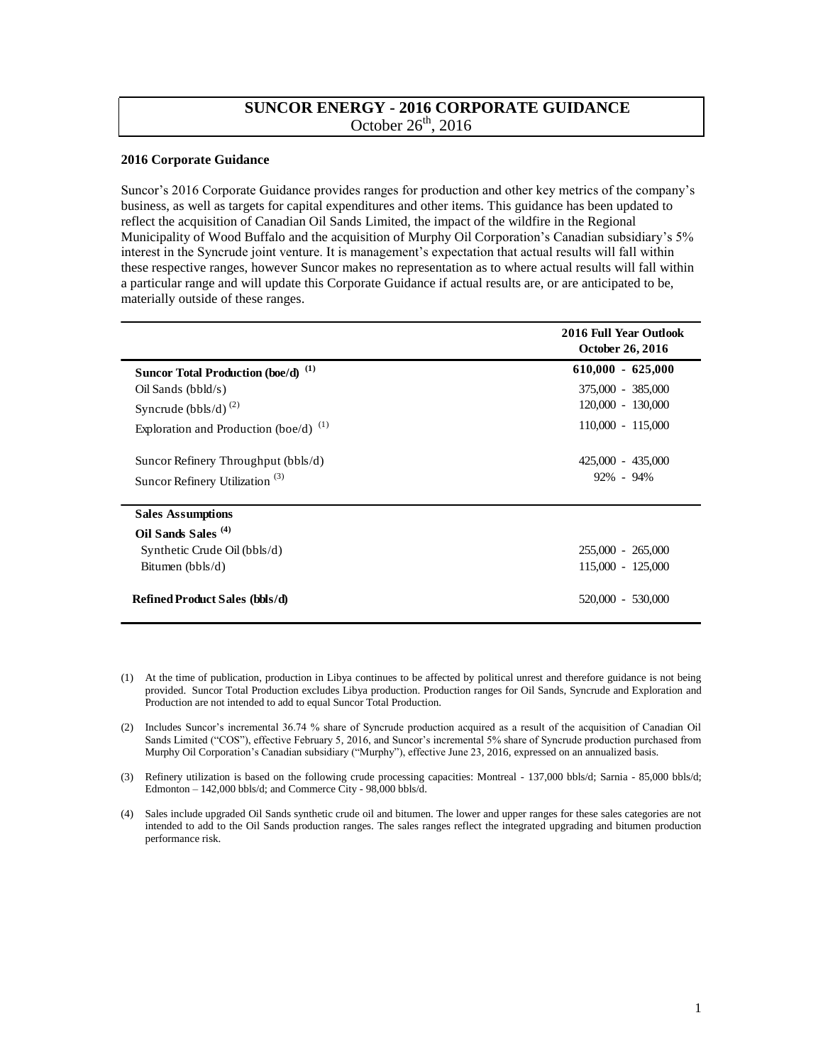## **SUNCOR ENERGY - 2016 CORPORATE GUIDANCE**  October  $26<sup>th</sup>$ , 2016

## **2016 Corporate Guidance**

 Suncor's 2016 Corporate Guidance provides ranges for production and other key metrics of the company's business, as well as targets for capital expenditures and other items. This guidance has been updated to reflect the acquisition of Canadian Oil Sands Limited, the impact of the wildfire in the Regional Municipality of Wood Buffalo and the acquisition of Murphy Oil Corporation's Canadian subsidiary's 5% interest in the Syncrude joint venture. It is management's expectation that actual results will fall within these respective ranges, however Suncor makes no representation as to where actual results will fall within a particular range and will update this Corporate Guidance if actual results are, or are anticipated to be, materially outside of these ranges.

|                                                | 2016 Full Year Outlook<br>October 26, 2016 |
|------------------------------------------------|--------------------------------------------|
| Suncor Total Production (boe/d) <sup>(1)</sup> | $610,000 - 625,000$                        |
| Oil Sands (bbld/s)                             | 375,000 - 385,000                          |
| Syncrude (bbls/d) $^{(2)}$                     | 120,000 - 130,000                          |
| Exploration and Production (boe/d) $^{(1)}$    | $110,000 - 115,000$                        |
| Suncor Refinery Throughput (bbls/d)            | 425,000 - 435,000                          |
| Suncor Refinery Utilization <sup>(3)</sup>     | 92% - 94%                                  |
| <b>Sales Assumptions</b>                       |                                            |
| Oil Sands Sales <sup>(4)</sup>                 |                                            |
| Synthetic Crude Oil (bbls/d)                   | 255,000 - 265,000                          |
| Bitumen $(bbls/d)$                             | 115,000 - 125,000                          |
| <b>Refined Product Sales (bbls/d)</b>          | 520,000 - 530,000                          |

- (1) At the time of publication, production in Libya continues to be affected by political unrest and therefore guidance is not being provided. Suncor Total Production excludes Libya production. Production ranges for Oil Sands, Syncrude and Exploration and Production are not intended to add to equal Suncor Total Production.
- (2) Includes Suncor's incremental 36.74 % share of Syncrude production acquired as a result of the acquisition of Canadian Oil Sands Limited ("COS"), effective February 5, 2016, and Suncor's incremental 5% share of Syncrude production purchased from Murphy Oil Corporation's Canadian subsidiary ("Murphy"), effective June 23, 2016, expressed on an annualized basis.
- (3) Refinery utilization is based on the following crude processing capacities: Montreal 137,000 bbls/d; Sarnia 85,000 bbls/d; Edmonton – 142,000 bbls/d; and Commerce City - 98,000 bbls/d.
- (4) Sales include upgraded Oil Sands synthetic crude oil and bitumen. The lower and upper ranges for these sales categories are not intended to add to the Oil Sands production ranges. The sales ranges reflect the integrated upgrading and bitumen production performance risk.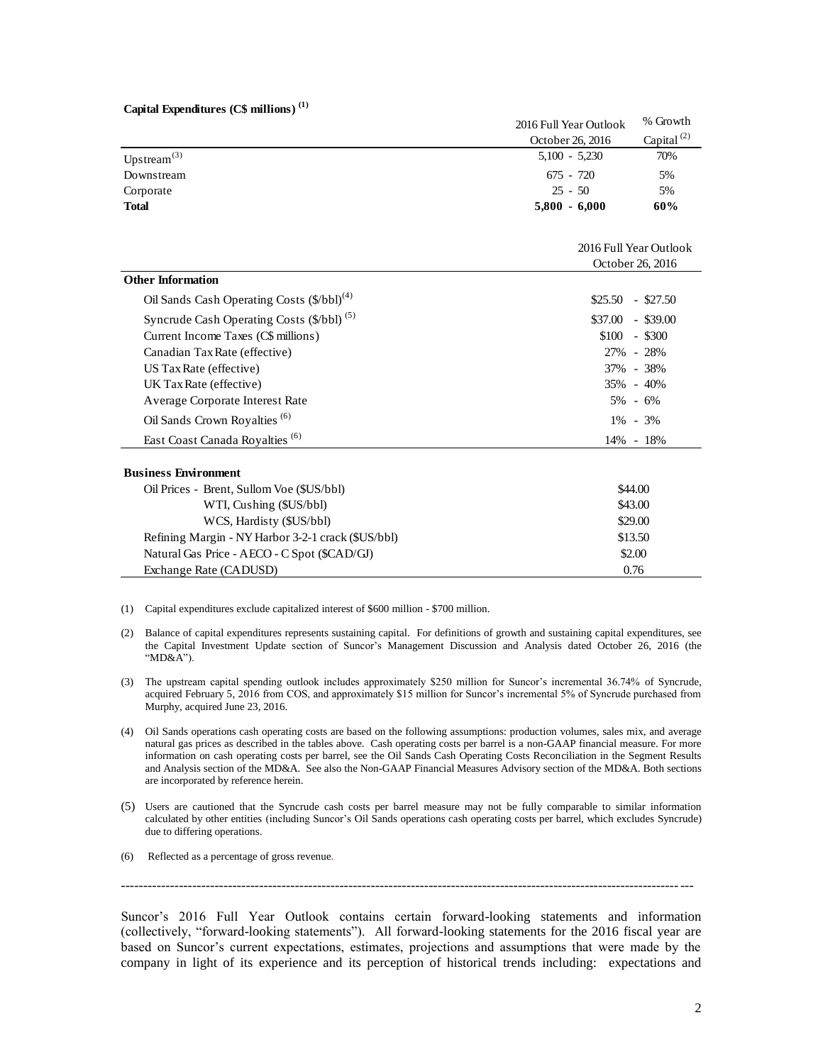## **Capital Expenditures (C\$ millions) (1)**

| Capital Expenditures $(C\$ millions) <sup>(1)</sup> |                        |                  |
|-----------------------------------------------------|------------------------|------------------|
|                                                     | 2016 Full Year Outlook | % Growth         |
|                                                     | October 26, 2016       | Capital $^{(2)}$ |
| Upstream $^{(3)}$                                   | $5,100 - 5,230$        | 70%              |
| Downstream                                          | $675 - 720$            | 5%               |
| Corporate                                           | $25 - 50$              | 5%               |
| <b>Total</b>                                        | $5,800 - 6,000$        | 60%              |
|                                                     |                        |                  |

|                                                        | 2016 Full Year Outlook<br>October 26, 2016 |  |
|--------------------------------------------------------|--------------------------------------------|--|
| <b>Other Information</b>                               |                                            |  |
| Oil Sands Cash Operating Costs (\$/bbl) <sup>(4)</sup> | \$25.50<br>$-$ \$27.50                     |  |
| Syncrude Cash Operating Costs (\$/bbl) <sup>(5)</sup>  | \$37.00<br>$-$ \$39.00                     |  |
| Current Income Taxes (C\$ millions)                    | $-$ \$300<br>\$100                         |  |
| Canadian Tax Rate (effective)                          | 27% - 28%                                  |  |
| US Tax Rate (effective)                                | 37% - 38%                                  |  |
| UK Tax Rate (effective)                                | $35\% - 40\%$                              |  |
| Average Corporate Interest Rate                        | $5\% - 6\%$                                |  |
| Oil Sands Crown Royalties <sup>(6)</sup>               | $1\% - 3\%$                                |  |
| East Coast Canada Royalties <sup>(6)</sup>             | 14% - 18%                                  |  |
| <b>Business Environment</b>                            |                                            |  |
| Oil Prices - Brent, Sullom Voe (\$US/bbl)              | \$44.00                                    |  |
| WTI, Cushing (\$US/bbl)                                | \$43.00                                    |  |
| WCS, Hardisty (\$US/bbl)                               | \$29.00                                    |  |
| Refining Margin - NY Harbor 3-2-1 crack (\$US/bbl)     | \$13.50                                    |  |
| Natural Gas Price - AECO - C Spot (\$CAD/GJ)           | \$2.00                                     |  |

(1) Capital expenditures exclude capitalized interest of \$600 million - \$700 million.

- (2) Balance of capital expenditures represents sustaining capital. For definitions of growth and sustaining capital expenditures, see the Capital Investment Update section of Suncor's Management Discussion and Analysis dated October 26, 2016 (the "MD&A").
- (3) The upstream capital spending outlook includes approximately \$250 million for Suncor's incremental 36.74% of Syncrude, acquired February 5, 2016 from COS, and approximately \$15 million for Suncor's incremental 5% of Syncrude purchased from Murphy, acquired June 23, 2016.
- (4) Oil Sands operations cash operating costs are based on the following assumptions: production volumes, sales mix, and average natural gas prices as described in the tables above. Cash operating costs per barrel is a non-GAAP financial measure. For more information on cash operating costs per barrel, see the Oil Sands Cash Operating Costs Reconciliation in the Segment Results and Analysis section of the MD&A. See also the Non-GAAP Financial Measures Advisory section of the MD&A. Both sections are incorporated by reference herein.
- (5) Users are cautioned that the Syncrude cash costs per barrel measure may not be fully comparable to similar information calculated by other entities (including Suncor's Oil Sands operations cash operating costs per barrel, which excludes Syncrude) due to differing operations.
- (6) Reflected as a percentage of gross revenue.

Exchange Rate (CADUSD)

 $-1.1$ 

 Suncor's 2016 Full Year Outlook contains certain forward-looking statements and information (collectively, "forward-looking statements"). All forward-looking statements for the 2016 fiscal year are based on Suncor's current expectations, estimates, projections and assumptions that were made by the company in light of its experience and its perception of historical trends including: expectations and

0.76